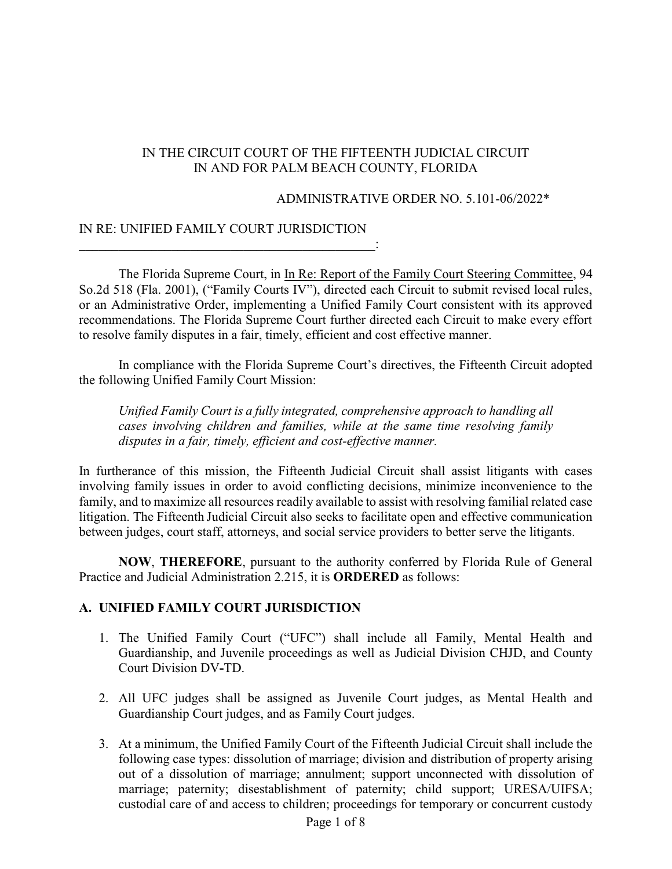## IN THE CIRCUIT COURT OF THE FIFTEENTH JUDICIAL CIRCUIT IN AND FOR PALM BEACH COUNTY, FLORIDA

#### ADMINISTRATIVE ORDER NO. 5.101-06/2022\*

#### IN RE: UNIFIED FAMILY COURT JURISDICTION  $\mathcal{L}_\text{max} = \frac{1}{2} \sum_{i=1}^{n} \frac{1}{2} \sum_{i=1}^{n} \frac{1}{2} \sum_{i=1}^{n} \frac{1}{2} \sum_{i=1}^{n} \frac{1}{2} \sum_{i=1}^{n} \frac{1}{2} \sum_{i=1}^{n} \frac{1}{2} \sum_{i=1}^{n} \frac{1}{2} \sum_{i=1}^{n} \frac{1}{2} \sum_{i=1}^{n} \frac{1}{2} \sum_{i=1}^{n} \frac{1}{2} \sum_{i=1}^{n} \frac{1}{2} \sum_{i=1}^{n} \frac{1$

The Florida Supreme Court, in In Re: Report of the Family Court Steering Committee, 94 So.2d 518 (Fla. 2001), ("Family Courts IV"), directed each Circuit to submit revised local rules, or an Administrative Order, implementing a Unified Family Court consistent with its approved recommendations. The Florida Supreme Court further directed each Circuit to make every effort to resolve family disputes in a fair, timely, efficient and cost effective manner.

In compliance with the Florida Supreme Court's directives, the Fifteenth Circuit adopted the following Unified Family Court Mission:

*Unified Family Court is a fully integrated, comprehensive approach to handling all cases involving children and families, while at the same time resolving family disputes in a fair, timely, efficient and cost-effective manner.*

In furtherance of this mission, the Fifteenth Judicial Circuit shall assist litigants with cases involving family issues in order to avoid conflicting decisions, minimize inconvenience to the family, and to maximize all resources readily available to assist with resolving familial related case litigation. The Fifteenth Judicial Circuit also seeks to facilitate open and effective communication between judges, court staff, attorneys, and social service providers to better serve the litigants.

**NOW**, **THEREFORE**, pursuant to the authority conferred by Florida Rule of General Practice and Judicial Administration 2.215, it is **ORDERED** as follows:

### **A. UNIFIED FAMILY COURT JURISDICTION**

- 1. The Unified Family Court ("UFC") shall include all Family, Mental Health and Guardianship, and Juvenile proceedings as well as Judicial Division CHJD, and County Court Division DV**-**TD.
- 2. All UFC judges shall be assigned as Juvenile Court judges, as Mental Health and Guardianship Court judges, and as Family Court judges.
- 3. At a minimum, the Unified Family Court of the Fifteenth Judicial Circuit shall include the following case types: dissolution of marriage; division and distribution of property arising out of a dissolution of marriage; annulment; support unconnected with dissolution of marriage; paternity; disestablishment of paternity; child support; URESA/UIFSA; custodial care of and access to children; proceedings for temporary or concurrent custody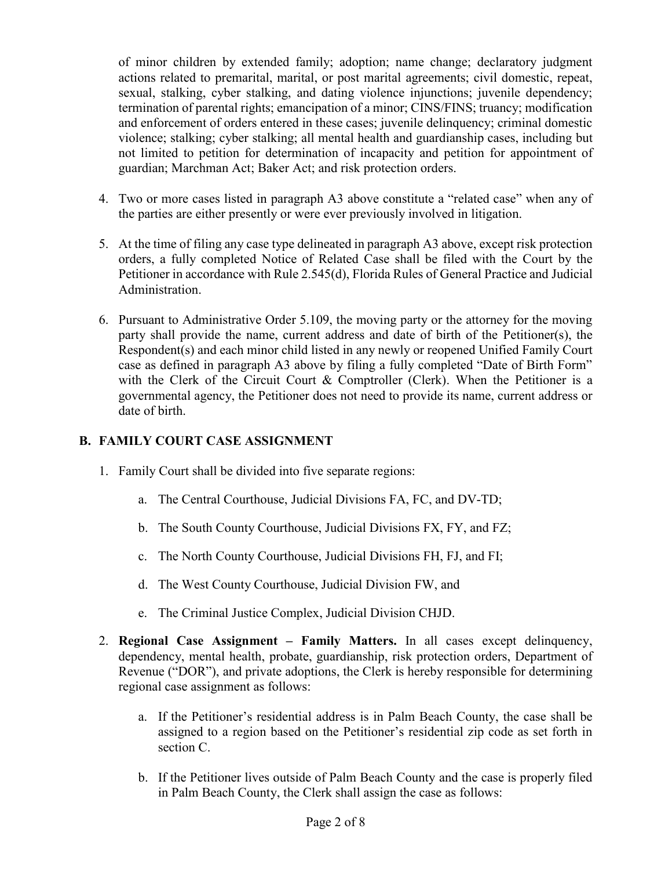of minor children by extended family; adoption; name change; declaratory judgment actions related to premarital, marital, or post marital agreements; civil domestic, repeat, sexual, stalking, cyber stalking, and dating violence injunctions; juvenile dependency; termination of parental rights; emancipation of a minor; CINS/FINS; truancy; modification and enforcement of orders entered in these cases; juvenile delinquency; criminal domestic violence; stalking; cyber stalking; all mental health and guardianship cases, including but not limited to petition for determination of incapacity and petition for appointment of guardian; Marchman Act; Baker Act; and risk protection orders.

- 4. Two or more cases listed in paragraph A3 above constitute a "related case" when any of the parties are either presently or were ever previously involved in litigation.
- 5. At the time of filing any case type delineated in paragraph A3 above, except risk protection orders, a fully completed Notice of Related Case shall be filed with the Court by the Petitioner in accordance with Rule 2.545(d), Florida Rules of General Practice and Judicial Administration.
- 6. Pursuant to Administrative Order 5.109, the moving party or the attorney for the moving party shall provide the name, current address and date of birth of the Petitioner(s), the Respondent(s) and each minor child listed in any newly or reopened Unified Family Court case as defined in paragraph A3 above by filing a fully completed "Date of Birth Form" with the Clerk of the Circuit Court & Comptroller (Clerk). When the Petitioner is a governmental agency, the Petitioner does not need to provide its name, current address or date of birth.

## **B. FAMILY COURT CASE ASSIGNMENT**

- 1. Family Court shall be divided into five separate regions:
	- a. The Central Courthouse, Judicial Divisions FA, FC, and DV-TD;
	- b. The South County Courthouse, Judicial Divisions FX, FY, and FZ;
	- c. The North County Courthouse, Judicial Divisions FH, FJ, and FI;
	- d. The West County Courthouse, Judicial Division FW, and
	- e. The Criminal Justice Complex, Judicial Division CHJD.
- 2. **Regional Case Assignment – Family Matters.** In all cases except delinquency, dependency, mental health, probate, guardianship, risk protection orders, Department of Revenue ("DOR"), and private adoptions, the Clerk is hereby responsible for determining regional case assignment as follows:
	- a. If the Petitioner's residential address is in Palm Beach County, the case shall be assigned to a region based on the Petitioner's residential zip code as set forth in section C.
	- b. If the Petitioner lives outside of Palm Beach County and the case is properly filed in Palm Beach County, the Clerk shall assign the case as follows: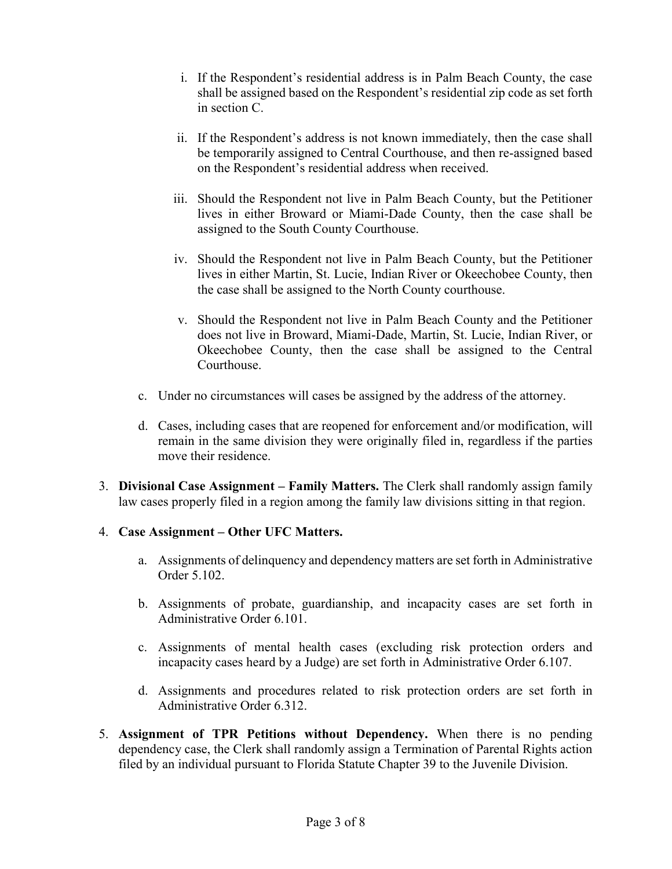- i. If the Respondent's residential address is in Palm Beach County, the case shall be assigned based on the Respondent's residential zip code as set forth in section C.
- ii. If the Respondent's address is not known immediately, then the case shall be temporarily assigned to Central Courthouse, and then re-assigned based on the Respondent's residential address when received.
- iii. Should the Respondent not live in Palm Beach County, but the Petitioner lives in either Broward or Miami-Dade County, then the case shall be assigned to the South County Courthouse.
- iv. Should the Respondent not live in Palm Beach County, but the Petitioner lives in either Martin, St. Lucie, Indian River or Okeechobee County, then the case shall be assigned to the North County courthouse.
- v. Should the Respondent not live in Palm Beach County and the Petitioner does not live in Broward, Miami-Dade, Martin, St. Lucie, Indian River, or Okeechobee County, then the case shall be assigned to the Central Courthouse.
- c. Under no circumstances will cases be assigned by the address of the attorney.
- d. Cases, including cases that are reopened for enforcement and/or modification, will remain in the same division they were originally filed in, regardless if the parties move their residence.
- 3. **Divisional Case Assignment – Family Matters.** The Clerk shall randomly assign family law cases properly filed in a region among the family law divisions sitting in that region.

### 4. **Case Assignment – Other UFC Matters.**

- a. Assignments of delinquency and dependency matters are set forth in Administrative Order 5.102.
- b. Assignments of probate, guardianship, and incapacity cases are set forth in Administrative Order 6.101.
- c. Assignments of mental health cases (excluding risk protection orders and incapacity cases heard by a Judge) are set forth in Administrative Order 6.107.
- d. Assignments and procedures related to risk protection orders are set forth in Administrative Order 6.312.
- 5. **Assignment of TPR Petitions without Dependency.** When there is no pending dependency case, the Clerk shall randomly assign a Termination of Parental Rights action filed by an individual pursuant to Florida Statute Chapter 39 to the Juvenile Division.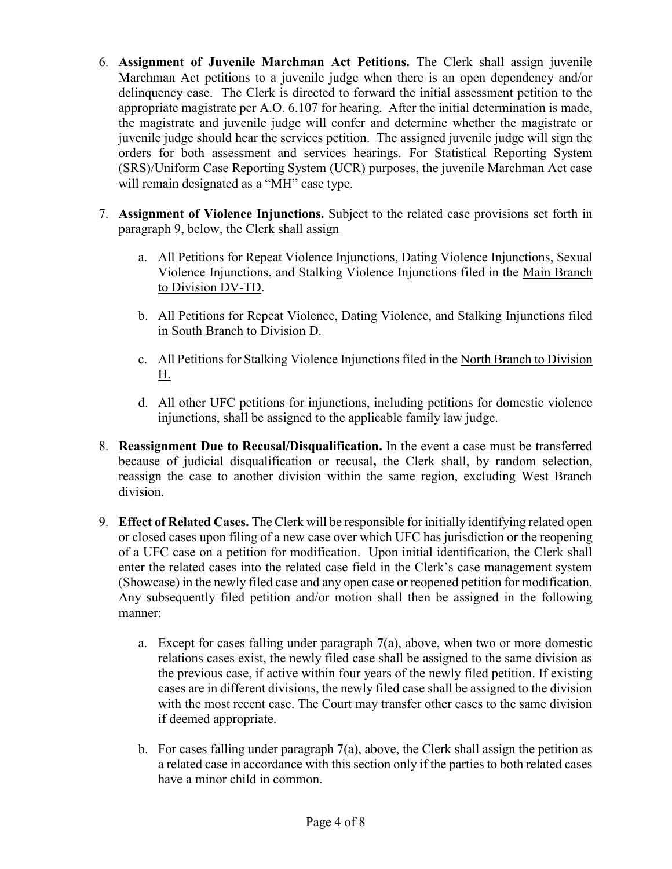- 6. **Assignment of Juvenile Marchman Act Petitions.** The Clerk shall assign juvenile Marchman Act petitions to a juvenile judge when there is an open dependency and/or delinquency case. The Clerk is directed to forward the initial assessment petition to the appropriate magistrate per A.O. 6.107 for hearing. After the initial determination is made, the magistrate and juvenile judge will confer and determine whether the magistrate or juvenile judge should hear the services petition. The assigned juvenile judge will sign the orders for both assessment and services hearings. For Statistical Reporting System (SRS)/Uniform Case Reporting System (UCR) purposes, the juvenile Marchman Act case will remain designated as a "MH" case type.
- 7. **Assignment of Violence Injunctions.** Subject to the related case provisions set forth in paragraph 9, below, the Clerk shall assign
	- a. All Petitions for Repeat Violence Injunctions, Dating Violence Injunctions, Sexual Violence Injunctions, and Stalking Violence Injunctions filed in the Main Branch to Division DV-TD.
	- b. All Petitions for Repeat Violence, Dating Violence, and Stalking Injunctions filed in South Branch to Division D.
	- c. All Petitions for Stalking Violence Injunctions filed in the North Branch to Division H.
	- d. All other UFC petitions for injunctions, including petitions for domestic violence injunctions, shall be assigned to the applicable family law judge.
- 8. **Reassignment Due to Recusal/Disqualification.** In the event a case must be transferred because of judicial disqualification or recusal**,** the Clerk shall, by random selection, reassign the case to another division within the same region, excluding West Branch division.
- 9. **Effect of Related Cases.** The Clerk will be responsible for initially identifying related open or closed cases upon filing of a new case over which UFC has jurisdiction or the reopening of a UFC case on a petition for modification. Upon initial identification, the Clerk shall enter the related cases into the related case field in the Clerk's case management system (Showcase) in the newly filed case and any open case or reopened petition for modification. Any subsequently filed petition and/or motion shall then be assigned in the following manner:
	- a. Except for cases falling under paragraph 7(a), above, when two or more domestic relations cases exist, the newly filed case shall be assigned to the same division as the previous case, if active within four years of the newly filed petition. If existing cases are in different divisions, the newly filed case shall be assigned to the division with the most recent case. The Court may transfer other cases to the same division if deemed appropriate.
	- b. For cases falling under paragraph  $7(a)$ , above, the Clerk shall assign the petition as a related case in accordance with this section only if the parties to both related cases have a minor child in common.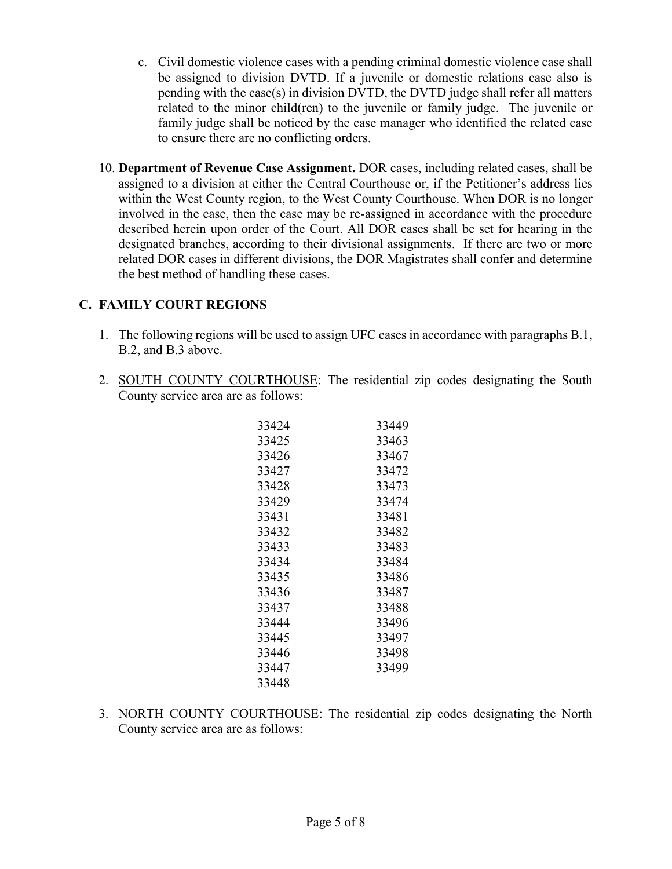- c. Civil domestic violence cases with a pending criminal domestic violence case shall be assigned to division DVTD. If a juvenile or domestic relations case also is pending with the case(s) in division DVTD, the DVTD judge shall refer all matters related to the minor child(ren) to the juvenile or family judge. The juvenile or family judge shall be noticed by the case manager who identified the related case to ensure there are no conflicting orders.
- 10. **Department of Revenue Case Assignment.** DOR cases, including related cases, shall be assigned to a division at either the Central Courthouse or, if the Petitioner's address lies within the West County region, to the West County Courthouse. When DOR is no longer involved in the case, then the case may be re-assigned in accordance with the procedure described herein upon order of the Court. All DOR cases shall be set for hearing in the designated branches, according to their divisional assignments. If there are two or more related DOR cases in different divisions, the DOR Magistrates shall confer and determine the best method of handling these cases.

# **C. FAMILY COURT REGIONS**

- 1. The following regions will be used to assign UFC cases in accordance with paragraphs B.1, B.2, and B.3 above.
- 2. SOUTH COUNTY COURTHOUSE: The residential zip codes designating the South County service area are as follows:

| 33424 | 33449 |
|-------|-------|
| 33425 | 33463 |
| 33426 | 33467 |
| 33427 | 33472 |
| 33428 | 33473 |
| 33429 | 33474 |
| 33431 | 33481 |
| 33432 | 33482 |
| 33433 | 33483 |
| 33434 | 33484 |
| 33435 | 33486 |
| 33436 | 33487 |
| 33437 | 33488 |
| 33444 | 33496 |
| 33445 | 33497 |
| 33446 | 33498 |
| 33447 | 33499 |
| 33448 |       |

3. NORTH COUNTY COURTHOUSE: The residential zip codes designating the North County service area are as follows: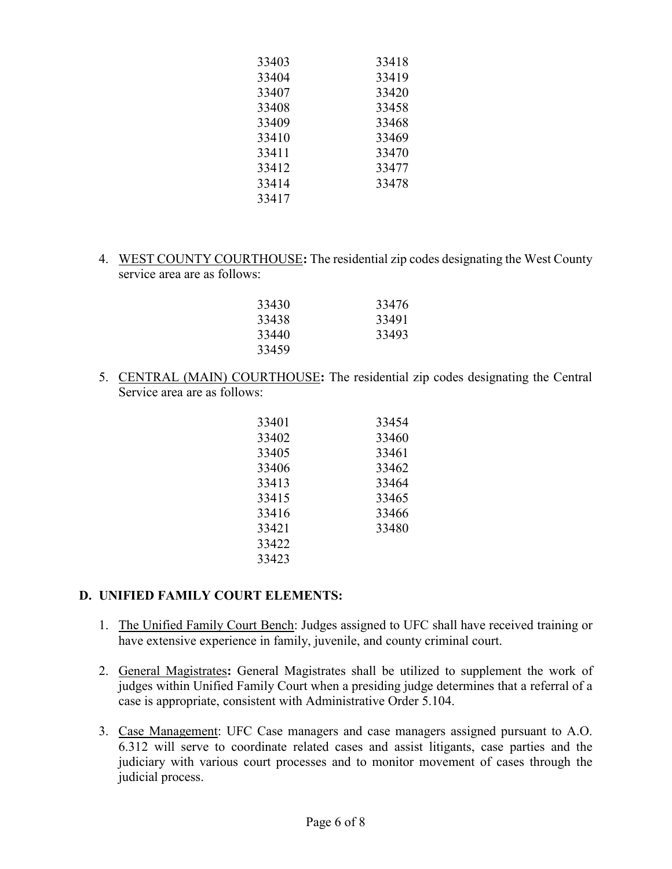| 33403 | 33418 |
|-------|-------|
| 33404 | 33419 |
| 33407 | 33420 |
| 33408 | 33458 |
| 33409 | 33468 |
| 33410 | 33469 |
| 33411 | 33470 |
| 33412 | 33477 |
| 33414 | 33478 |
| 33417 |       |

4. WEST COUNTY COURTHOUSE**:** The residential zip codes designating the West County service area are as follows:

| 33430 | 33476 |
|-------|-------|
| 33438 | 33491 |
| 33440 | 33493 |
| 33459 |       |

5. CENTRAL (MAIN) COURTHOUSE**:** The residential zip codes designating the Central Service area are as follows:

| 33401 | 33454 |
|-------|-------|
| 33402 | 33460 |
| 33405 | 33461 |
| 33406 | 33462 |
| 33413 | 33464 |
| 33415 | 33465 |
| 33416 | 33466 |
| 33421 | 33480 |
| 33422 |       |
| 33423 |       |

### **D. UNIFIED FAMILY COURT ELEMENTS:**

- 1. The Unified Family Court Bench: Judges assigned to UFC shall have received training or have extensive experience in family, juvenile, and county criminal court.
- 2. General Magistrates**:** General Magistrates shall be utilized to supplement the work of judges within Unified Family Court when a presiding judge determines that a referral of a case is appropriate, consistent with Administrative Order 5.104.
- 3. Case Management: UFC Case managers and case managers assigned pursuant to A.O. 6.312 will serve to coordinate related cases and assist litigants, case parties and the judiciary with various court processes and to monitor movement of cases through the judicial process.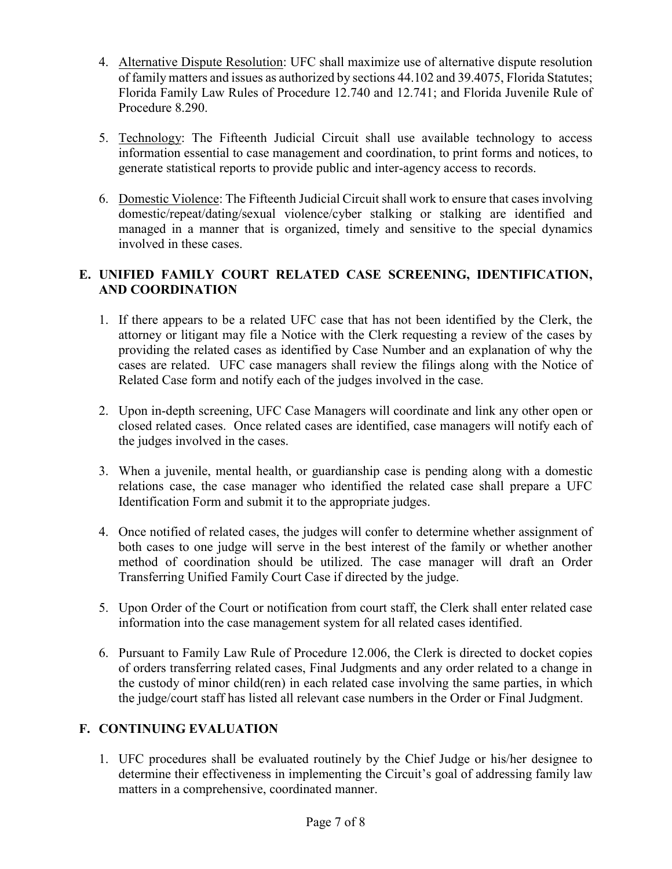- 4. Alternative Dispute Resolution: UFC shall maximize use of alternative dispute resolution of family matters and issues as authorized by sections 44.102 and 39.4075, Florida Statutes; Florida Family Law Rules of Procedure 12.740 and 12.741; and Florida Juvenile Rule of Procedure 8.290.
- 5. Technology: The Fifteenth Judicial Circuit shall use available technology to access information essential to case management and coordination, to print forms and notices, to generate statistical reports to provide public and inter-agency access to records.
- 6. Domestic Violence: The Fifteenth Judicial Circuit shall work to ensure that cases involving domestic/repeat/dating/sexual violence/cyber stalking or stalking are identified and managed in a manner that is organized, timely and sensitive to the special dynamics involved in these cases.

## **E. UNIFIED FAMILY COURT RELATED CASE SCREENING, IDENTIFICATION, AND COORDINATION**

- 1. If there appears to be a related UFC case that has not been identified by the Clerk, the attorney or litigant may file a Notice with the Clerk requesting a review of the cases by providing the related cases as identified by Case Number and an explanation of why the cases are related. UFC case managers shall review the filings along with the Notice of Related Case form and notify each of the judges involved in the case.
- 2. Upon in-depth screening, UFC Case Managers will coordinate and link any other open or closed related cases. Once related cases are identified, case managers will notify each of the judges involved in the cases.
- 3. When a juvenile, mental health, or guardianship case is pending along with a domestic relations case, the case manager who identified the related case shall prepare a UFC Identification Form and submit it to the appropriate judges.
- 4. Once notified of related cases, the judges will confer to determine whether assignment of both cases to one judge will serve in the best interest of the family or whether another method of coordination should be utilized. The case manager will draft an Order Transferring Unified Family Court Case if directed by the judge.
- 5. Upon Order of the Court or notification from court staff, the Clerk shall enter related case information into the case management system for all related cases identified.
- 6. Pursuant to Family Law Rule of Procedure 12.006, the Clerk is directed to docket copies of orders transferring related cases, Final Judgments and any order related to a change in the custody of minor child(ren) in each related case involving the same parties, in which the judge/court staff has listed all relevant case numbers in the Order or Final Judgment.

# **F. CONTINUING EVALUATION**

1. UFC procedures shall be evaluated routinely by the Chief Judge or his/her designee to determine their effectiveness in implementing the Circuit's goal of addressing family law matters in a comprehensive, coordinated manner.